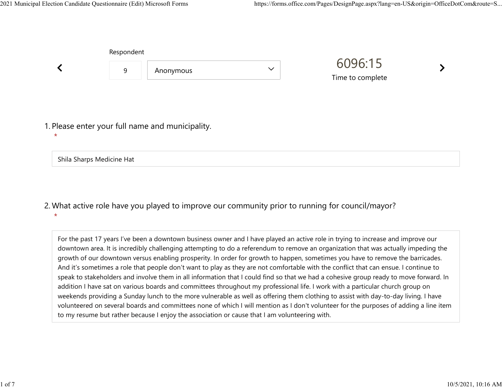Shila Sharps Medicine Hat

\*

Respondent

|                                                             | <b>ILCONDITION</b> |           |              | 6096:15<br>Time to complete |  |
|-------------------------------------------------------------|--------------------|-----------|--------------|-----------------------------|--|
|                                                             | 9                  | Anonymous | $\checkmark$ |                             |  |
|                                                             |                    |           |              |                             |  |
| 1. Please enter your full name and municipality.<br>$\star$ |                    |           |              |                             |  |
|                                                             |                    |           |              |                             |  |

What active role have you played to improve our community prior to running for council/mayor? 2.

For the past 17 years I've been a downtown business owner and I have played an active role in trying to increase and improve our downtown area. It is incredibly challenging attempting to do a referendum to remove an organization that was actually impeding the growth of our downtown versus enabling prosperity. In order for growth to happen, sometimes you have to remove the barricades. And it's sometimes a role that people don't want to play as they are not comfortable with the conflict that can ensue. I continue to speak to stakeholders and involve them in all information that I could find so that we had a cohesive group ready to move forward. In addition I have sat on various boards and committees throughout my professional life. I work with a particular church group on weekends providing a Sunday lunch to the more vulnerable as well as offering them clothing to assist with day-to-day living. I have volunteered on several boards and committees none of which I will mention as I don't volunteer for the purposes of adding a line item to my resume but rather because I enjoy the association or cause that I am volunteering with.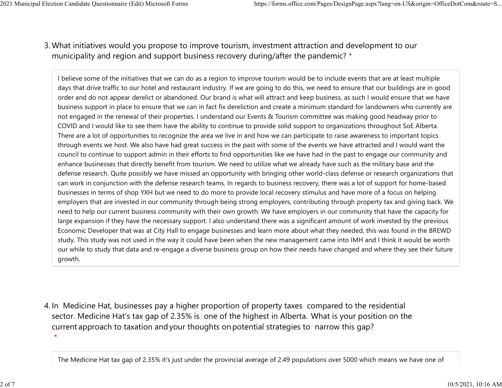## What initiatives would you propose to improve tourism, investment attraction and development to our 3. municipality and region and support business recovery during/after the pandemic? \* 2021 Municipal Election Candidate Questionnaire (Edit) Microsoft Forms https://forms.office.com/Pages/DesignPage.aspx?lang=en-US&origin=OfficeDotCom&route=S...<br>2 Mhat initiatives would you propose to improve tourism invest

I believe some of the initiatives that we can do as a region to improve tourism would be to include events that are at least multiple days that drive traffic to our hotel and restaurant industry. If we are going to do this, we need to ensure that our buildings are in good order and do not appear derelict or abandoned. Our brand is what will attract and keep business, as such I would ensure that we have business support in place to ensure that we can in fact fix dereliction and create a minimum standard for landowners who currently are not engaged in the renewal of their properties. I understand our Events & Tourism committee was making good headway prior to COVID and I would like to see them have the ability to continue to provide solid support to organizations throughout SoE Alberta. There are a lot of opportunities to recognize the area we live in and how we can participate to raise awareness to important topics through events we host. We also have had great success in the past with some of the events we have attracted and I would want the council to continue to support admin in their efforts to find opportunities like we have had in the past to engage our community and enhance businesses that directly benefit from tourism. We need to utilize what we already have such as the military base and the defense research. Quite possibly we have missed an opportunity with bringing other world-class defense or research organizations that can work in conjunction with the defense research teams. In regards to business recovery, there was a lot of support for home-based businesses in terms of shop YXH but we need to do more to provide local recovery stimulus and have more of a focus on helping employers that are invested in our community through being strong employers, contributing through property tax and giving back. We need to help our current business community with their own growth. We have employers in our community that have the capacity for large expansion if they have the necessary support. I also understand there was a significant amount of work invested by the previous Economic Developer that was at City Hall to engage businesses and learn more about what they needed, this was found in the BREWD study. This study was not used in the way it could have been when the new management came into IMH and I think it would be worth our while to study that data and re-engage a diverse business group on how their needs have changed and where they see their future growth.

4. In Medicine Hat, businesses pay a higher proportion of property taxes compared to the residential sector.  Medicine Hat's tax gap of 2.35% is one of the highest in Alberta.  What is your position on the current approach to taxation and your thoughts on potential strategies to narrow this gap?  $\star$ 

The Medicine Hat tax gap of 2.35% it's just under the provincial average of 2.49 populations over 5000 which means we have one of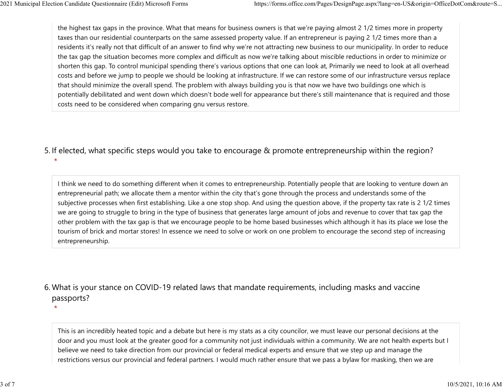the highest tax gaps in the province. What that means for business owners is that we're paying almost 2 1/2 times more in property taxes than our residential counterparts on the same assessed property value. If an entrepreneur is paying 2 1/2 times more than a residents it's really not that difficult of an answer to find why we're not attracting new business to our municipality. In order to reduce the tax gap the situation becomes more complex and difficult as now we're talking about miscible reductions in order to minimize or shorten this gap. To control municipal spending there's various options that one can look at, Primarily we need to look at all overhead costs and before we jump to people we should be looking at infrastructure. If we can restore some of our infrastructure versus replace that should minimize the overall spend. The problem with always building you is that now we have two buildings one which is potentially debilitated and went down which doesn't bode well for appearance but there's still maintenance that is required and those costs need to be considered when comparing gnu versus restore. 2021 Municipal Election Candidate Questionnaire (Edit) Microsoft Forms https://forms.office.com/Pages/DesignPage.aspx?lang=en-US&origin=OfficeDotCom&route=S...<br>
the highest tax gaps in the province. What that means for bus

5. If elected, what specific steps would you take to encourage & promote entrepreneurship within the region?

 $\star$ 

 $\star$ 

I think we need to do something different when it comes to entrepreneurship. Potentially people that are looking to venture down an entrepreneurial path; we allocate them a mentor within the city that's gone through the process and understands some of the subjective processes when first establishing. Like a one stop shop. And using the question above, if the property tax rate is 2 1/2 times we are going to struggle to bring in the type of business that generates large amount of jobs and revenue to cover that tax gap the other problem with the tax gap is that we encourage people to be home based businesses which although it has its place we lose the tourism of brick and mortar stores! In essence we need to solve or work on one problem to encourage the second step of increasing entrepreneurship.

## What is your stance on COVID-19 related laws that mandate requirements, including masks and vaccine 6. passports?

This is an incredibly heated topic and a debate but here is my stats as a city councilor, we must leave our personal decisions at the door and you must look at the greater good for a community not just individuals within a community. We are not health experts but I believe we need to take direction from our provincial or federal medical experts and ensure that we step up and manage the restrictions versus our provincial and federal partners. I would much rather ensure that we pass a bylaw for masking, then we are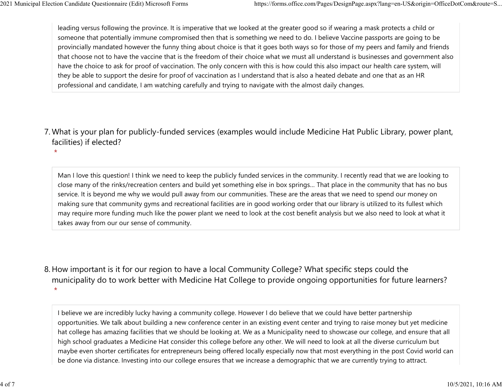$\star$ 

leading versus following the province. It is imperative that we looked at the greater good so if wearing a mask protects a child or someone that potentially immune compromised then that is something we need to do. I believe Vaccine passports are going to be provincially mandated however the funny thing about choice is that it goes both ways so for those of my peers and family and friends that choose not to have the vaccine that is the freedom of their choice what we must all understand is businesses and government also have the choice to ask for proof of vaccination. The only concern with this is how could this also impact our health care system, will they be able to support the desire for proof of vaccination as I understand that is also a heated debate and one that as an HR professional and candidate, I am watching carefully and trying to navigate with the almost daily changes. 2021 Municipal Election Candidate Questionnaire (Edit) Microsoft Forms https://forms.office.com/Pages/DesignPage.aspx?lang=en-US&origin=OfficeDotCom&route=S...<br>leading versus following the province. It is imperative that w

What is your plan for publicly-funded services (examples would include Medicine Hat Public Library, power plant, 7. facilities) if elected?

Man I love this question! I think we need to keep the publicly funded services in the community. I recently read that we are looking to close many of the rinks/recreation centers and build yet something else in box springs… That place in the community that has no bus service. It is beyond me why we would pull away from our communities. These are the areas that we need to spend our money on making sure that community gyms and recreational facilities are in good working order that our library is utilized to its fullest which may require more funding much like the power plant we need to look at the cost benefit analysis but we also need to look at what it takes away from our our sense of community.

8. How important is it for our region to have a local Community College? What specific steps could the municipality do to work better with Medicine Hat College to provide ongoing opportunities for future learners?  $\star$ 

I believe we are incredibly lucky having a community college. However I do believe that we could have better partnership opportunities. We talk about building a new conference center in an existing event center and trying to raise money but yet medicine hat college has amazing facilities that we should be looking at. We as a Municipality need to showcase our college, and ensure that all high school graduates a Medicine Hat consider this college before any other. We will need to look at all the diverse curriculum but maybe even shorter certificates for entrepreneurs being offered locally especially now that most everything in the post Covid world can be done via distance. Investing into our college ensures that we increase a demographic that we are currently trying to attract.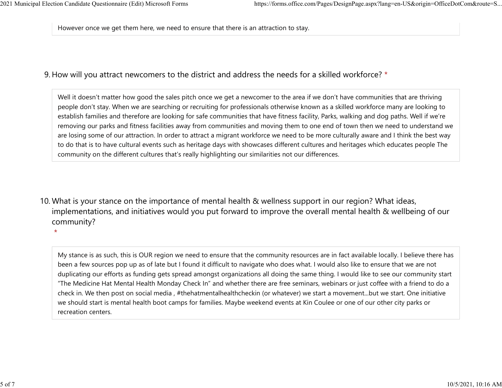$\star$ 

However once we get them here, we need to ensure that there is an attraction to stay. 2021 Municipal Election Candidate Questionnaire (Edit) Microsoft Forms https://forms.office.com/Pages/DesignPage.aspx?lang=en-US&origin=OfficeDotCom&route=S...<br>However once we get them here, we need to ensure that there is

## 9. How will you attract newcomers to the district and address the needs for a skilled workforce? \*

Well it doesn't matter how good the sales pitch once we get a newcomer to the area if we don't have communities that are thriving people don't stay. When we are searching or recruiting for professionals otherwise known as a skilled workforce many are looking to establish families and therefore are looking for safe communities that have fitness facility, Parks, walking and dog paths. Well if we're removing our parks and fitness facilities away from communities and moving them to one end of town then we need to understand we are losing some of our attraction. In order to attract a migrant workforce we need to be more culturally aware and I think the best way to do that is to have cultural events such as heritage days with showcases different cultures and heritages which educates people The community on the different cultures that's really highlighting our similarities not our differences.

10. What is your stance on the importance of mental health & wellness support in our region? What ideas, implementations, and initiatives would you put forward to improve the overall mental health & wellbeing of our community?

My stance is as such, this is OUR region we need to ensure that the community resources are in fact available locally. I believe there has been a few sources pop up as of late but I found it difficult to navigate who does what. I would also like to ensure that we are not duplicating our efforts as funding gets spread amongst organizations all doing the same thing. I would like to see our community start "The Medicine Hat Mental Health Monday Check In" and whether there are free seminars, webinars or just coffee with a friend to do a check in. We then post on social media , #thehatmentalhealthcheckin (or whatever) we start a movement...but we start. One initiative we should start is mental health boot camps for families. Maybe weekend events at Kin Coulee or one of our other city parks or recreation centers.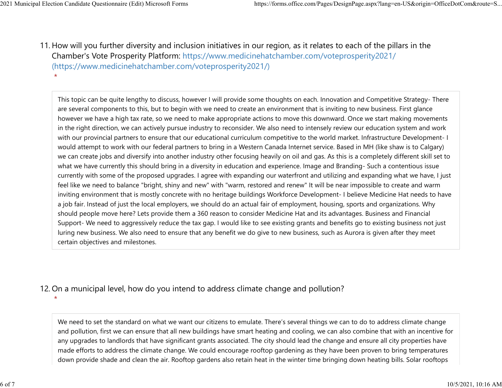$\star$ 

11. How will you further diversity and inclusion initiatives in our region, as it relates to each of the pillars in the Chamber's Vote Prosperity Platform: https://www.medicinehatchamber.com/voteprosperity2021/ (https://www.medicinehatchamber.com/voteprosperity2021/) 2021 Municipal Election Candidate Questionnaire (Edit) Microsoft Forms https://forms.office.com/Pages/DesignPage.aspx?lang=en-US&origin=OfficeDotCom&route=S...<br>11 How will you further diversity and inclusion initiatives in

> This topic can be quite lengthy to discuss, however I will provide some thoughts on each. Innovation and Competitive Strategy- There are several components to this, but to begin with we need to create an environment that is inviting to new business. First glance however we have a high tax rate, so we need to make appropriate actions to move this downward. Once we start making movements in the right direction, we can actively pursue industry to reconsider. We also need to intensely review our education system and work with our provincial partners to ensure that our educational curriculum competitive to the world market. Infrastructure Development- I would attempt to work with our federal partners to bring in a Western Canada Internet service. Based in MH (like shaw is to Calgary) we can create jobs and diversify into another industry other focusing heavily on oil and gas. As this is a completely different skill set to what we have currently this should bring in a diversity in education and experience. Image and Branding- Such a contentious issue currently with some of the proposed upgrades. I agree with expanding our waterfront and utilizing and expanding what we have, I just feel like we need to balance "bright, shiny and new" with "warm, restored and renew" It will be near impossible to create and warm inviting environment that is mostly concrete with no heritage buildings Workforce Development- I believe Medicine Hat needs to have a job fair. Instead of just the local employers, we should do an actual fair of employment, housing, sports and organizations. Why should people move here? Lets provide them a 360 reason to consider Medicine Hat and its advantages. Business and Financial Support- We need to aggressively reduce the tax gap. I would like to see existing grants and benefits go to existing business not just luring new business. We also need to ensure that any benefit we do give to new business, such as Aurora is given after they meet certain objectives and milestones.

## 12. On a municipal level, how do you intend to address climate change and pollution?

 $\star$ 

We need to set the standard on what we want our citizens to emulate. There's several things we can to do to address climate change and pollution, first we can ensure that all new buildings have smart heating and cooling, we can also combine that with an incentive for any upgrades to landlords that have significant grants associated. The city should lead the change and ensure all city properties have made efforts to address the climate change. We could encourage rooftop gardening as they have been proven to bring temperatures down provide shade and clean the air. Rooftop gardens also retain heat in the winter time bringing down heating bills. Solar rooftops